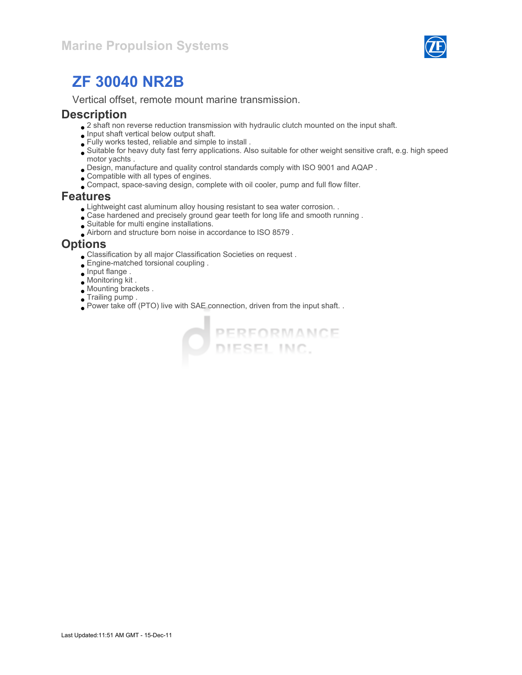

Vertical offset, remote mount marine transmission.

#### **Description**

- $\bullet$  2 shaft non reverse reduction transmission with hydraulic clutch mounted on the input shaft.
- $\bullet$  Input shaft vertical below output shaft.
- Fully works tested, reliable and simple to install .
- Suitable for heavy duty fast ferry applications. Also suitable for other weight sensitive craft, e.g. high speed motor yachts .
- Design, manufacture and quality control standards comply with ISO 9001 and AQAP .
- Compatible with all types of engines.
- Compact, space-saving design, complete with oil cooler, pump and full flow filter.

#### Features

- Lightweight cast aluminum alloy housing resistant to sea water corrosion. .
- Case hardened and precisely ground gear teeth for long life and smooth running .
- Suitable for multi engine installations.
- Airborn and structure born noise in accordance to ISO 8579 .

#### **Options**

- Classification by all major Classification Societies on request .
- Engine-matched torsional coupling .
- Input flange .
- Monitoring kit .
- Mounting brackets .
- Trailing pump .
- Power take off (PTO) live with SAE connection, driven from the input shaft. .

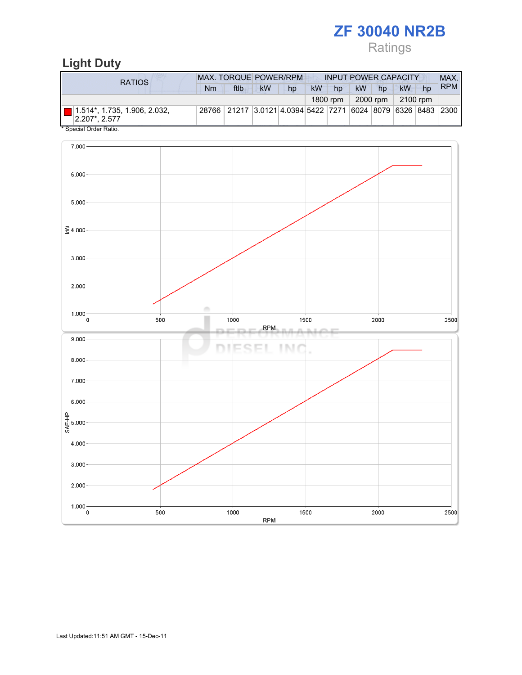# Ratings

## Light Duty

| RATIOS                                                                         |    | <b>MAX. TORQUE POWER/RPM</b>                                 |           |    |           |          | <b>INPUT POWER CAPACITY</b> |          |           |    |            |  |
|--------------------------------------------------------------------------------|----|--------------------------------------------------------------|-----------|----|-----------|----------|-----------------------------|----------|-----------|----|------------|--|
|                                                                                | Nm | ftlb                                                         | <b>kW</b> | hp | <b>kW</b> | hp       | <b>kW</b>                   | hp       | <b>kW</b> | hp | <b>RPM</b> |  |
|                                                                                |    |                                                              |           |    |           | 1800 rpm |                             | 2000 rpm | 2100 rpm  |    |            |  |
| $\blacksquare$   1.514*, 1.735, 1.906, 2.032,<br>$ 2.207$ <sup>*</sup> , 2.577 |    | 28766 21217 3.0121 4.0394 5422 7271 6024 8079 6326 8483 2300 |           |    |           |          |                             |          |           |    |            |  |

Special Order Ratio.

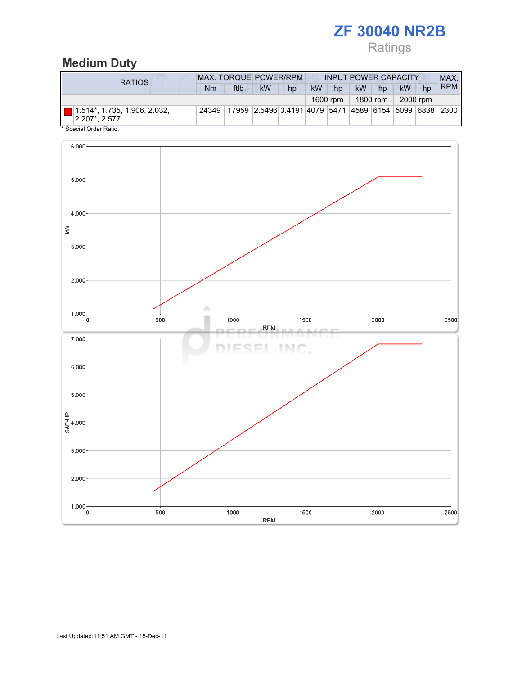# Ratings

## Medium Duty

| RATIOS                                        |       | <b>MAX. TORQUE POWER/RPM</b> |                                                        |    |    | <b>INPUT POWER CAPACITY</b> |           |          |           |    |            |
|-----------------------------------------------|-------|------------------------------|--------------------------------------------------------|----|----|-----------------------------|-----------|----------|-----------|----|------------|
|                                               | Nm    | ftlb                         | <b>kW</b>                                              | hp | kW | hp                          | <b>kW</b> | hp       | <b>kW</b> | hp | <b>RPM</b> |
|                                               |       |                              |                                                        |    |    | 1600 rpm                    |           | 1800 rpm | 2000 rpm  |    |            |
| 1.514*, 1.735, 1.906, 2.032,<br>2.207*, 2.577 | 24349 |                              | 17959 2.5496 3.4191 4079 5471 4589 6154 5099 6838 2300 |    |    |                             |           |          |           |    |            |

Special Order Ratio.

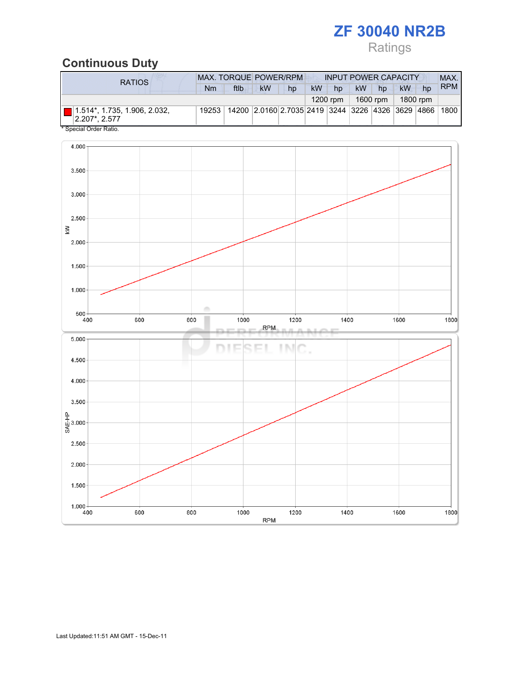## Ratings

## Continuous Duty

| <b>RPM</b><br><b>kW</b><br><b>kW</b><br>ftlb<br><b>kW</b><br><b>kW</b><br>Nm<br>hp<br>hp<br>hp<br>hp<br>1600 rpm<br>1800 rpm<br>1200 rpm<br>14200 2.0160 2.7035 2419 3244 3226 4326 3629 4866  <br>$\Box$ 1.514*, 1.735, 1.906, 2.032,<br>  1800 <br>19253<br>2.207*, 2.577 | <b>RATIOS</b> | <b>MAX. TORQUE POWER/RPM</b> |  |  |  | <b>INPUT POWER CAPACITY</b> |  |  |  |  |  | MAX. |
|-----------------------------------------------------------------------------------------------------------------------------------------------------------------------------------------------------------------------------------------------------------------------------|---------------|------------------------------|--|--|--|-----------------------------|--|--|--|--|--|------|
|                                                                                                                                                                                                                                                                             |               |                              |  |  |  |                             |  |  |  |  |  |      |
|                                                                                                                                                                                                                                                                             |               |                              |  |  |  |                             |  |  |  |  |  |      |
|                                                                                                                                                                                                                                                                             |               |                              |  |  |  |                             |  |  |  |  |  |      |

Special Order Ratio.

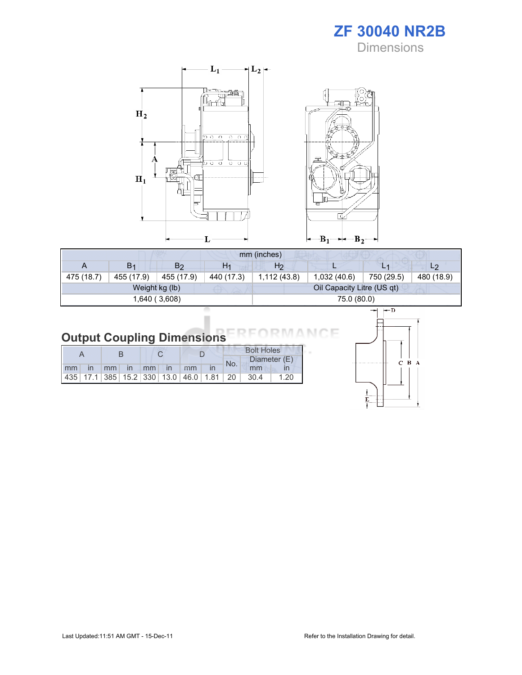ZF 30040 NR2B **Dimensions** 



| mm (inches) |                |                |            |                |                            |            |                |  |  |
|-------------|----------------|----------------|------------|----------------|----------------------------|------------|----------------|--|--|
| A           | B <sub>1</sub> | B <sub>2</sub> | H1         | H <sub>2</sub> |                            |            | L <sub>2</sub> |  |  |
| 475 (18.7)  | 455 (17.9)     | 455 (17.9)     | 440 (17.3) | 1,112(43.8)    | 1,032(40.6)                | 750 (29.5) | 480 (18.9)     |  |  |
|             |                | Weight kg (lb) |            |                | Oil Capacity Litre (US qt) |            |                |  |  |
|             |                | 1,640 (3,608)  |            |                | 75.0 (80.0)                |            |                |  |  |

#### Output Coupling Dimensions Е МC

|       |  |  |                |  |  |     | <b>Bolt Holes</b>                                |      |
|-------|--|--|----------------|--|--|-----|--------------------------------------------------|------|
|       |  |  |                |  |  | No. | Diameter (E)                                     |      |
| mm in |  |  | mm in mm in mm |  |  |     | mm                                               |      |
|       |  |  |                |  |  |     | $ 435 $ 17.1 385 15.2 330 13.0 46.0 1.81 20 30.4 | 1.20 |